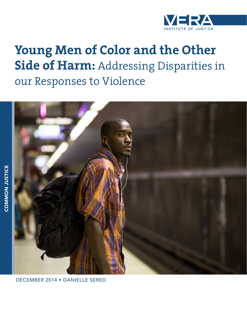

# **Young Men of Color and the Other Side of Harm:** Addressing Disparities in our Responses to Violence



DECEMBER 2014 • DANIELLE SERED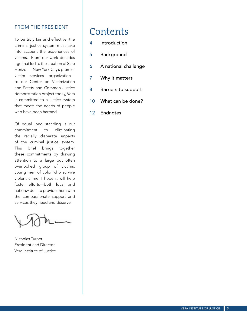### FROM THE PRESIDENT

To be truly fair and effective, the criminal justice system must take into account the experiences of victims. From our work decades ago that led to the creation of Safe Horizon—New York City's premier victim services organization to our Center on Victimization and Safety and Common Justice demonstration project today, Vera is committed to a justice system that meets the needs of people who have been harmed.

Of equal long standing is our commitment to eliminating the racially disparate impacts of the criminal justice system. This brief brings together these commitments by drawing attention to a large but often overlooked group of victims: young men of color who survive violent crime. I hope it will help foster efforts—both local and nationwide—to provide them with the compassionate support and services they need and deserve.

Nicholas Turner President and Director Vera Institute of Justice

### Contents

- 4 Introduction
- 5 Background
- 6 A national challenge
- 7 Why it matters
- 8 Barriers to support
- 10 What can be done?
- 12 Endnotes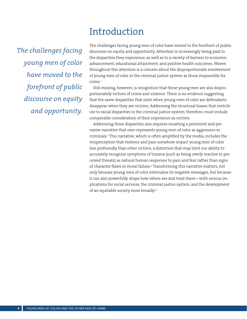## Introduction

*The challenges facing young men of color have moved to the forefront of public discourse on equity and opportunity.*

The challenges facing young men of color have moved to the forefront of public discourse on equity and opportunity. Attention is increasingly being paid to the disparities they experience, as well as to a variety of barriers to economic advancement, educational attainment, and positive health outcomes. Woven throughout this attention is a concern about the disproportionate involvement of young men of color in the criminal justice system as those responsible for crime.<sup>1</sup>

Still missing, however, is recognition that these young men are also disproportionately victims of crime and violence. There is no evidence suggesting that the same disparities that exist when young men of color are defendants disappear when they are victims. Addressing the structural biases that contribute to racial disparities in the criminal justice system, therefore, must include comparable consideration of their experience as victims.

Addressing these disparities also requires recasting a persistent and pervasive narrative that over-represents young men of color as aggressors or criminals.2 This narrative, which is often amplified by the media, includes the misperception that violence and pain somehow impact young men of color less profoundly than other victims, a distortion that may limit our ability to accurately recognize symptoms of trauma (such as being overly reactive to perceived threats) as natural human responses to pain and fear rather than signs of character flaws or moral failure.3 Transforming this narrative matters, not only because young men of color internalize its negative messages, but because it can also powerfully shape how others see and treat them—with serious implications for social services, the criminal justice system, and the development of an equitable society more broadly.4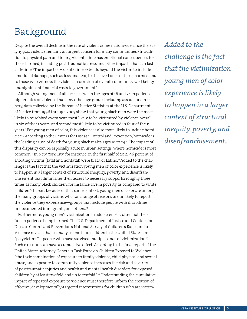# Background

Despite the overall decline in the rate of violent crime nationwide since the early 1990s, violence remains an urgent concern for many communities.<sup>5</sup> In addition to physical pain and injury, violent crime has emotional consequences for those harmed, including post-traumatic stress and other impacts that can last a lifetime.<sup>6</sup> The impact of violent crime extends beyond the victim to include emotional damage, such as loss and fear, to the loved ones of those harmed and to those who witness the violence; corrosion of overall community well being; and significant financial costs to government.7

Although young men of all races between the ages of 16 and 24 experience higher rates of violence than any other age group, including assault and robbery, data collected by the Bureau of Justice Statistics at the U.S. Department of Justice from 1996 through 2007 show that young black men were the most likely to be robbed every year, most likely to be victimized by violence overall in six of the 11 years, and second most likely to be victimized in four of the 11 years.8 For young men of color, this violence is also more likely to include homicide.9 According to the Centers for Disease Control and Prevention, homicide is the leading cause of death for young black males ages 10 to 24.<sup>10</sup> The impact of this disparity can be especially acute in urban settings, where homicide is more common.11 In New York City, for instance, in the first half of 2012, 96 percent of shooting victims (fatal and nonfatal) were black or Latino.<sup>12</sup> Added to the challenge is the fact that the victimization young men of color experience is likely to happen in a larger context of structural inequity, poverty, and disenfranchisement that diminishes their access to necessary supports: roughly three times as many black children, for instance, live in poverty as compared to white children.13 In part because of that same context, young men of color are among the many groups of victims who for a range of reasons are unlikely to report the violence they experience—groups that include people with disabilities, undocumented immigrants, and others.14

Furthermore, young men's victimization in adolescence is often not their first experience being harmed. The U.S. Department of Justice and Centers for Disease Control and Prevention's National Survey of Children's Exposure to Violence reveals that as many as one in 10 children in the United States are "polyvictims"—people who have survived multiple kinds of victimization.15 Such exposure can have a cumulative effect. According to the final report of the United States Attorney General's Task Force on Children Exposed to Violence, "the toxic combination of exposure to family violence, child physical and sexual abuse, and exposure to community violence increases the risk and severity of posttraumatic injuries and health and mental health disorders for exposed children by at least twofold and up to tenfold."16 Understanding the cumulative impact of repeated exposure to violence must therefore inform the creation of effective, developmentally-targeted interventions for children who are victim-

*Added to the challenge is the fact that the victimization young men of color experience is likely to happen in a larger context of structural inequity, poverty, and disenfranchisement...*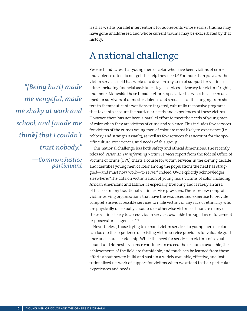ized, as well as parallel interventions for adolescents whose earlier trauma may have gone unaddressed and whose current trauma may be exacerbated by that history.

# A national challenge

*"[Being hurt] made me vengeful, made me shaky at work and school, and [made me think] that I couldn't trust nobody." —Common Justice participant* Research indicates that young men of color who have been victims of crime and violence often do not get the help they need.<sup>17</sup> For more than 30 years, the victim services field has worked to develop a system of support for victims of crime, including financial assistance, legal services, advocacy for victims' rights, and more. Alongside those broader efforts, specialized services have been developed for survivors of domestic violence and sexual assault—ranging from shelters to therapeutic interventions to targeted, culturally responsive programs that take into account the particular needs and experiences of these victims. However, there has not been a parallel effort to meet the needs of young men of color when they are victims of crime and violence. This includes few services for victims of the crimes young men of color are most likely to experience (i.e. robbery and stranger assault), as well as few services that account for the specific culture, experiences, and needs of this group.

This national challenge has both safety and ethical dimensions. The recently released *Vision 21: Transforming Victim Services* report from the federal Office of Victims of Crime (OVC) charts a course for victim services in the coming decade and identifies young men of color among the populations the field has struggled—and must now work—to serve.18 Indeed, OVC explicitly acknowledges elsewhere: "The data on victimization of young male victims of color, including African Americans and Latinos, is especially troubling and is rarely an area of focus of many traditional victim service providers. There are few nonprofit victim-serving organizations that have the resources and expertise to provide comprehensive, accessible services to male victims of any race or ethnicity who are physically or sexually assaulted or otherwise victimized, nor are many of these victims likely to access victim services available through law enforcement or prosecutorial agencies."19

Nevertheless, those trying to expand victim services to young men of color can look to the experience of existing victim service providers for valuable guidance and shared leadership. While the need for services to victims of sexual assault and domestic violence continues to exceed the resources available, the achievements of the field are formidable, and much can be learned from those efforts about how to build and sustain a widely available, effective, and institutionalized network of support for victims when we attend to their particular experiences and needs.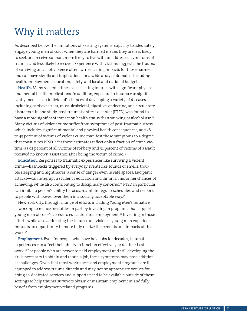# Why it matters

As described below, the limitations of existing systems' capacity to adequately engage young men of color when they are harmed means they are less likely to seek and receive support, more likely to live with unaddressed symptoms of trauma, and less likely to recover. Experience with victims suggests the trauma of surviving an act of violence often carries lasting impacts for those harmed and can have significant implications for a wide array of domains, including health, employment, education, safety, and local and national budgets.

**Health.** Many violent crimes cause lasting injuries with significant physical and mental health implications. In addition, exposure to trauma can significantly increase an individual's chances of developing a variety of diseases, including cardiovascular, musculoskeletal, digestive, endocrine, and circulatory disorders.20 In one study, post-traumatic stress disorder (PTSD) was found to have a more significant impact on health status than smoking or alcohol use.<sup>21</sup> Many victims of violent crime suffer from symptoms of post-traumatic stress, which includes significant mental and physical health consequences, and 28 to 45 percent of victims of violent crime manifest those symptoms to a degree that constitutes PTSD.<sup>22</sup> Yet these estimates reflect only a fraction of crime victims, as 92 percent of all victims of robbery and 91 percent of victims of assault received no known assistance after being the victim of crime.<sup>23</sup>

**Education.** Responses to traumatic experiences like surviving a violent crime—flashbacks triggered by everyday events like sounds or smells, trouble sleeping and nightmares, a sense of danger even in safe spaces, and panic attacks—can interrupt a student's education and diminish his or her chances of achieving, while also contributing to disciplinary concerns.<sup>24</sup> PTSD in particular can inhibit a person's ability to focus, maintain regular schedules, and respond to people with power over them in a socially acceptable way.<sup>25</sup>

New York City, through a range of efforts including Young Men's Initiative, is working to reduce inequities in part by investing in programs that support young men of color's access to education and employment.<sup>26</sup> Investing in those efforts while also addressing the trauma and violence young men experience presents an opportunity to more fully realize the benefits and impacts of this work.27

**Employment.** Even for people who have held jobs for decades, traumatic experiences can affect their ability to function effectively or do their best at work.28 For people who are newer to paid employment and still developing the skills necessary to obtain and retain a job, these symptoms may pose additional challenges. Given that most workplaces and employment programs are ill equipped to address trauma directly and may not be appropriate venues for doing so, dedicated services and supports need to be available outside of these settings to help trauma survivors obtain or maintain employment and fully benefit from employment-related programs.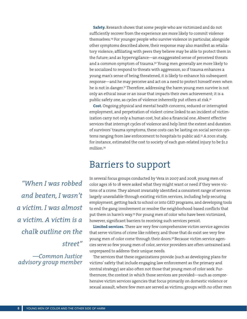**Safety.** Research shows that some people who are victimized and do not sufficiently recover from the experience are more likely to commit violence themselves.29 For younger people who survive violence in particular, alongside other symptoms described above, their response may also manifest as retaliatory violence; affiliating with peers they believe may be able to protect them in the future; and as hypervigilance—an exaggerated sense of perceived threats and a common symptom of trauma.<sup>30</sup> Young men generally are more likely to be socialized to respond to threats with aggression, so if trauma enhances a young man's sense of being threatened, it is likely to enhance his subsequent response—and he may perceive and act on a need to protect himself even when he is not in danger.31 Therefore, addressing the harm young men survive is not only an ethical issue or an issue that impacts their own achievement; it is a public safety one, as cycles of violence inherently put others at risk.<sup>32</sup>

**Cost.** Ongoing physical and mental health concerns, reduced or interrupted employment, and perpetration of violent crime linked to an incident of victimization carry not only a human cost, but also a financial one. Absent effective services that interrupt cycles of violence and help limit the extent and duration of survivors' trauma symptoms, these costs can be lasting on social service systems ranging from law enforcement to hospitals to public aid.<sup>33</sup> A 2001 study, for instance, estimated the cost to society of each gun-related injury to be \$1.2 million.34

### Barriers to support

*"When I was robbed and beaten, I wasn't a victim. I was almost a victim. A victim is a chalk outline on the street"*

*—Common Justice advisory group member* In several focus groups conducted by Vera in 2007 and 2008, young men of color ages 16 to 18 were asked what they might want or need if they were victims of a crime. They almost invariably identified a consistent range of services largely unavailable through existing victim services, including help securing employment, getting back to school or into GED programs, and developing tools to end the gang involvement or resolve the neighborhood-based conflicts that put them in harm's way.35 For young men of color who have been victimized, however, significant barriers to receiving such services persist.

**Limited services.** There are very few comprehensive victim service agencies that serve victims of crime like robbery, and those that do exist see very few young men of color come through their doors.<sup>36</sup> Because victim service agencies serve so few young men of color, service providers are often untrained and unprepared to address their unique needs.

The services that these organizations provide (such as developing plans for victims' safety that include engaging law enforcement as the primary and central strategy) are also often not those that young men of color seek. Furthermore, the context in which those services are provided—such as comprehensive victim services agencies that focus primarily on domestic violence or sexual assault, where few men are served as victims; groups with no other men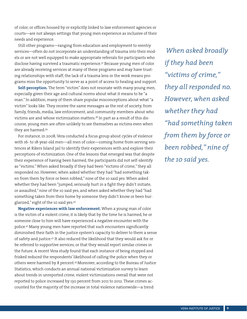of color; or offices housed by or explicitly linked to law enforcement agencies or courts—are not always settings that young men experience as inclusive of their needs and experience.

Still other programs—ranging from education and employment to reentry services—often do not incorporate an understanding of trauma into their models or are not well equipped to make appropriate referrals for participants who disclose having survived a traumatic experience.37 Because young men of color are already receiving services at many of these programs and may have trusting relationships with staff, the lack of a trauma lens in the work means programs miss the opportunity to serve as a point of access to healing and support.

**Self-perception.** The term "victim" does not resonate with many young men, especially given their age and cultural norms about what it means to be "a man." In addition, many of them share popular misconceptions about what "a victim" looks like. They receive the same messages as the rest of society, from family, friends, media, law enforcement, and community members about who victims are and whose victimization matters.38 In part as a result of this discourse, young men are often unlikely to see themselves as victims even when they are harmed.39

For instance, in 2008, Vera conducted a focus group about cycles of violence with 16- to 18-year-old men—all men of color—coming home from serving sentences at Rikers Island jail to identify their experiences with and explore their perceptions of victimization. One of the lessons that emerged was that despite their experience of having been harmed, the participants did not self-identify as "victims." When asked broadly if they had been "victims of crime," they all responded no. However, when asked whether they had "had something taken from them by force or been robbed," nine of the 10 said yes. When asked whether they had been "jumped, seriously hurt in a fight they didn't initiate, or assaulted," nine of the 10 said yes, and when asked whether they had "had something taken from their home by someone they didn't know or been burglarized," eight of the 10 said yes.40

**Negative experiences with law enforcement.** When a young man of color is the victim of a violent crime, it is likely that by the time he is harmed, he or someone close to him will have experienced a negative encounter with the police.41 Many young men have reported that such encounters significantly diminished their faith in the justice system's capacity to deliver to them a sense of safety and justice.42 It also reduced the likelihood that they would ask for or be referred to supportive services, or that they would report similar crimes in the future. A recent Vera study found that each instance of being stopped and frisked reduced the respondents' likelihood of calling the police when they or others were harmed by 8 percent.43 Moreover, according to the Bureau of Justice Statistics, which conducts an annual national victimization survey to learn about trends in unreported crime, violent victimizations overall that were not reported to police increased by 130 percent from 2011 to 2012. These crimes accounted for the majority of the increase in total violence nationwide—a trend

 *When asked broadly if they had been "victims of crime," they all responded no. However, when asked whether they had "had something taken from them by force or been robbed," nine of the 10 said yes.*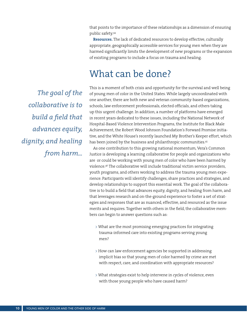that points to the importance of these relationships as a dimension of ensuring public safety.44

**Resources.** The lack of dedicated resources to develop effective, culturally appropriate, geographically accessible services for young men when they are harmed significantly limits the development of new programs or the expansion of existing programs to include a focus on trauma and healing.

# What can be done?

*The goal of the collaborative is to build a field that advances equity, dignity, and healing from harm...*

This is a moment of both crisis and opportunity for the survival and well being of young men of color in the United States. While largely uncoordinated with one another, there are both new and veteran community-based organizations, schools, law enforcement professionals, elected officials, and others taking up this urgent challenge. In addition, a number of platforms have emerged in recent years dedicated to these issues, including the National Network of Hospital-Based Violence Intervention Programs, the Institute for Black Male Achievement, the Robert Wood Johnson Foundation's Forward Promise initiative, and the White House's recently launched My Brother's Keeper effort, which has been joined by the business and philanthropic communities.<sup>45</sup>

As one contribution to this growing national momentum, Vera's Common Justice is developing a learning collaborative for people and organizations who are or could be working with young men of color who have been harmed by violence.46 The collaborative will include traditional victim service providers, youth programs, and others working to address the trauma young men experience. Participants will identify challenges, share practices and strategies, and develop relationships to support this essential work. The goal of the collaborative is to build a field that advances equity, dignity, and healing from harm, and that leverages research and on-the-ground experience to foster a set of strategies and responses that are as nuanced, effective, and resourced as the issue merits and requires. Together with others in the field, the collaborative members can begin to answer questions such as:

- > What are the most promising emerging practices for integrating trauma-informed care into existing programs serving young men?
- > How can law enforcement agencies be supported in addressing implicit bias so that young men of color harmed by crime are met with respect, care, and coordination with appropriate resources?
- > What strategies exist to help intervene in cycles of violence, even with those young people who have caused harm?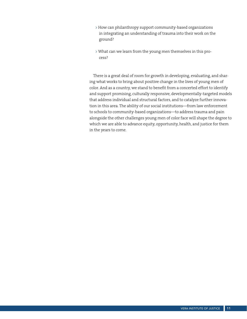- > How can philanthropy support community-based organizations in integrating an understanding of trauma into their work on the ground?
- > What can we learn from the young men themselves in this process?

There is a great deal of room for growth in developing, evaluating, and sharing what works to bring about positive change in the lives of young men of color. And as a country, we stand to benefit from a concerted effort to identify and support promising, culturally responsive, developmentally-targeted models that address individual and structural factors, and to catalyze further innovation in this area. The ability of our social institutions—from law enforcement to schools to community-based organizations—to address trauma and pain alongside the other challenges young men of color face will shape the degree to which we are able to advance equity, opportunity, health, and justice for them in the years to come.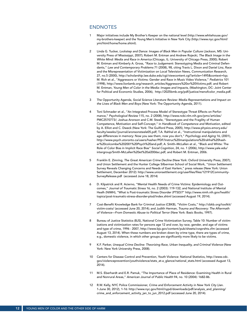#### ENDNOTES

- 1 Major initiatives include My Brother's Keeper on the national level (http://www.whitehouse.gov/ my-brothers-keeper) and the Young Men's Initiative in New York City (http://www.nyc.gov/html/ ymi/html/home/home.shtml).
- 2 Linda G. Tucker, *Lockstep and Dance: Images of Black Men in Popular Culture* (Jackson, MS: University Press of Mississippi, 2007); Robert M. Entman and Andrew Rojecki, *The Black Image in the White Mind: Media and Race in America* (Chicago, IL: University of Chicago Press, 2000); Robert M. Entman and Kimberly A. Gross, "Race to Judgement: Stereotyping Media and Criminal Defendants," *Law and Contemporary Problems* 71 (2008), 98, citing Travis L. Dixon and Daniel Linz, Race and the Misrepresentation of Victimization on Local Television News, *Communication Research*, 27, no.5 (2000), http://scholarship.law.duke.edu/cgi/viewcontent.cgi?article=1495&context=lcp; M. Rich et al., "Aggressors or Victims: Gender and Race in Music Video Violence," *Pediatrics* 101 (1998), http://www.lionlamb.org/research\_articles/Aggressors%20or%20Victims.pdf; and Robert M. Entman, *Young Men of Color in the Media: Images and Impacts*, (Washington, DC: Joint Center for Political and Economic Studies, 2006), http://2025bmb.org/pdf/justice/menofcolor\_media.pdf.
- 3 The Opportunity Agenda, *Social Science Literature Review: Media Representations and Impact on the Lives of Black Men and Boys* (New York: The Opportunity Agenda, 2011).
- 4 Toni Schmader et al., "An Integrated Process Model of Stereotype Threat Effects on Performance," *Psychological Review* 115, no. 2 (2008), http://www.ncbi.nlm.nih.gov/pmc/articles/ PMC2570773/; Joshua Aronson and C.M. Steele, "Stereotypes and the Fragility of Human Competence, Motivation and Self-Concept," in *Handbook of Competence and Motivation*, edited by A. Elliot and C. Dweck (New York: The Guilford Press, 2005), http://www.physics.emory.edu/ faculty/weeks//journal/aronsonsteele05.pdf; T.A. Rahhal et al., "Instructional manipulations and age differences in memory: Now you see them, now you don't," *Psychology and Aging* 16, (2001), http://www.psych.utoronto.ca/users/hasher/PDF/Instruc%20manipulations%20rahhal%20hasher%20colcombe%202001%20Psych%20and.pdf; A. Smith–McLallen et al., "Black and White: The Role of Color Bias in Implicit Race Bias" *Social Cognition*, 24, no. 1 (2006), http://www.yale.edu/ intergroup/Smith-McLallen%20et%20al2006sc.pdf; and Robert M. Entman, 2006.
- 5 Franklin E. Zimring, *The Great American Crime Decline* (New York: Oxford University Press, 2007); and Union Settlement and the Hunter College Silberman School of Social Work, "Union Settlement Survey Reveals Changing Concerns and Needs of East Harlem," press release (New York: Union Settlement, December 2012): http://www.unionsettlement.org/userfiles/files/121912Community-SurveyRelease.pdf (accessed June 18, 2014)
- 6 D. Kilpatrick and R. Acierno, "Mental Health Needs of Crime Victims: Epidemiology and Outcomes," *Journal of Traumatic Stress* 16, no. 2 (2003): 119-132; and National Institute of Mental Healh (NIMH), "What is Post-traumatic Stress Disorder (PTSD)?" http://www.nimh.nih.gov/health/ topics/post-traumatic-stress-disorder-ptsd/index.shtml (accessed August 19, 2014).
- 7 Cost-Benefit Knowledge Bank for Criminal Justice (CBKB), "Victim Costs," http://cbkb.org/toolkit/ victim-costs/ (accessed June 20, 2014); and Judith Herman, *Trauma and Recovery: The Aftermath of Violence—From Domestic Abuse to Political Terror* (New York: Basic Books, 1997).
- 8 Bureau of Justice Statistics (BJS), National Crime Victimization Survey, Table 10: Number of victimizations and victimization rates for persons age 12 and over, by race, gender, and age of victims and type of crime, 1996 - 2007, http://www.bjs.gov/content/pub/sheets/cvsprshts.cfm (accessed August 13, 2014). When these numbers are broken down by crime type, there are types of crime, e.g., domestic violence, in which other groups are significantly more likely to be victims.
- 9 K.F. Parker, *Unequal Crime Decline: Theorizing Race, Urban Inequality, and Criminal Violence* (New York: New York University Press, 2008).
- 10 Centers for Disease Control and Prevention, Youth Violence: National Statistics, http://www.cdc. gov/violenceprevention/youthviolence/stats\_at-a\_glance/national\_stats.html (accessed August 13, 2014).
- 11 M.S. Eberhardt and E.R. Pamuk, "The Importance of Place of Residence: Examining Health in Rural and Nonrural Areas," *American Journal of Public Health* 94, no. 10 (2004): 1682-86.
- 12 R.W. Kelly, NYC Police Commissioner, *Crime and Enforcement Activity in New York City* (Jan. 1-June 30, 2012), 1-16: http://www.nyc.gov/html/nypd/downloads/pdf/analysis\_and\_planning/ crime\_and\_enforcement\_activity\_jan\_to\_jun\_2012.pdf (accessed June 20, 2014).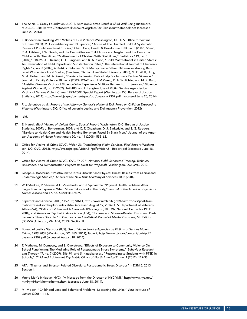- 13 The Annie E. Casey Foundation (AECF), *Data Book: State Trend in Child Well-Being* (Baltimore, MD: AECF, 2013): http://datacenter.kidscount.org/files/2013kidscountdatabook.pdf (accessed June 20, 2014).
- 14 J. Bonderman, Working With Victims of Gun Violence (Washington, DC: U.S. Office for Victims of Crime, 2001); M. Govindshenoy and N. Spencer, "Abuse of The Disabled Child: A Systematic Review of Population-Based Studies," Child: Care, Health & Development 33, no. 5 (2007), 552–8; R. A. Hibbard, L.W. Desch, and the Committee on Child Abuse and Neglect and the Council on Children with Disabilities, "Maltreatment of Children With Disabilities," Pediatrics 119, no. 5 (2007),1018–25; J.E. Kesner, G. E. Bingham, and K. A. Kwon, "Child Maltreatment in United States: An Examination of Child Reports and Substantiation Rates," The International Journal of Children's Rights 17, no. 3 (2009), 433–44; Y. Baba and S. B. Murray. Racial/ethnic Differences Among Battered Women in a Local Shelter, (San Jose, CA: San Jose State University, 2003); M. E. Wolf, U. Ly, M. A. Hobart, and M. A. Kernic, "Barriers to Seeking Police Help For Intimate Partner Violence," Journal of Family Violence 18, no. 2 (2003),121–9; and J. M Zweig, K. A. Schlichter, and M. R. Burt, "Assisting Women Victims of Violence Who Experience Multiple Barriers to Services," Violence Against Women 8, no. 2 (2002), 162-180; and L. Langton, Use of Victim Service Agencies by Victims of Serious Violent Crime, 1993-2009, Special Report (Washington DC: Bureau of Justice Statistics, 2011): http://www.bjs.gov/content/pub/pdf/uvsavsvc9309.pdf (accessed June 20, 2014)
- 15 R.L. Listenbee et al., *Report of the Attorney General's National Task Force on Children Exposed to Violence* (Washington, DC: Office of Juvenile Justice and Delinquency Prevention, 2012)
- 16 Ibid.
- 17 E. Harrell, *Black Victims of Violent Crime, Special Report* (Washington, D.C, Bureau of Justice Statistics, 2007); J. Bonderman, 2001; and C. T. Cheatham, D. J. Barksdale, and S. G. Rodgers, "Barriers to Health Care and Health-Seeking Behaviors Faced By Black Men," Journal of the American Academy of Nurse Practitioners 20, no. 11 (2008), 555–62.
- 18 Office for Victims of Crime (OVC), *Vision 21: Transforming Victim Services: Final Report* (Washington, DC: OVC, 2013), http://ovc.ncjrs.gov/vision21/pdfs/Vision21\_Report.pdf (accessed June 18, 2014).
- 19 Office for Victims of Crime (OVC), *OVC FY 2011 National Field-Generated Training, Technical Assistance, and Demonstration Projects Request for Proposals* (Washington, DC: OVC, 2013).
- 20 Joseph A. Boscarino, "Posttraumatic Stress Disorder and Physical Illness: Results from Clinical and Epidemiologic Studies," *Annals of the New York Academy of Sciences* 1032 (2004).
- 21 W. D'Andrea, R. Sharma, A.D. Zelechoski, and J. Spinazzola, "Physical Health Problems After Single Trauma Exposure: When Stress Takes Root in the Body," *Journal of the American Psychiatric Nurses Association* 17, no. 6 (2011): 378–92.
- 22 Kilpatrick and Acierno, 2003, 119-132; NIMH, http://www.nimh.nih.gov/health/topics/post-traumatic-stress-disorder-ptsd/index.shtml (accessed August 19, 2014); U.S. Department of Veterans Affairs (VA), *PTSD in Children and Adolescents* (Washington, DC: VA, National Center for PTSD, 2004); and American Psychiatric Association (APA), "Trauma- and Stressor-Related Disorders: Posttraumatic Stress Disorder" in *Diagnostic and Statistical Manual of Mental Disorders*, 5th Edition (DSM-5) (Arlington, VA: APA, 2013), Section II.
- 23 Bureau of Justice Statistics (BJS), *Use of Victim Service Agencies by Victims of Serious Violent Crime, 1993-2003* (Washington, DC: BJS, 2011), Table 2, http://www.bjs.gov/content/pub/pdf/ uvsavsvc9309.pdf (accessed August 18, 2014).
- T. Mathews, M. Dempsey, and S. Overstreet, "Effects of Exposure to Community Violence On School Functioning: The Mediating Role of Posttraumatic Stress Symptoms," *Behaviour Research and Therapy* 47, no. 7 (2009), 586–91; and S. Kataoka et al., "Responding to Students with PTSD in Schools," *Child and Adolescent Psychiatric Clinics of North America* 21, no. 1 (2012), 119-33.
- 25 APA, "Trauma- and Stressor-Related Disorders: Posttraumatic Stress Disorder" in DSM-5, 2013, Section II.
- 26 Young Men's Initiative (NYC), "A Message from the Director of NYC YMI," http://www.nyc.gov/ html/ymi/html/home/home.shtml (accessed June 18, 2014).
- 27 M. Viboch, "Childhood Loss and Behavioral Problems: Loosening the Links," *Vera Institute of Justice* (2005), 1-15.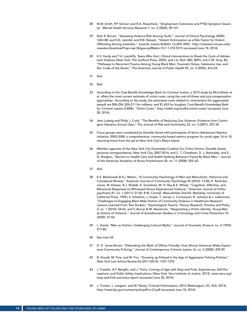- 28 M.W. Smith, P.P. Schnurr and R.A. Rosenheck, "Employment Outcomes and PTSD Symptom Severity," *Mental Health Services Research* 7, no. 2 (2005), 89-101.
- 29 Ibid; R. Borum, "Assessing Violence Risk Among Youth," *Journal of Clinical Psychology* (2000), 1263-88; and S.N. Jennifer and R.B. Ruback, "Violent Victimization as a Risk Factor for Violent Offending Among Juveniles," *Juvenile Justice Bulletin*, OJJDP, 2002: http://citeseerx.ist.psu.edu/ viewdoc/download?rep=rep1&type=pdf&doi=10.1.1.218.5315 (accessed June 18, 2014).
- 30 K.V. Hardy and T.A. Laszloffy, *Teens Who Hurt: Clinical Interventions to Break the Cycle of Adolescent Violence* (New York: The Guilford Press, 2005); and J.A. Rich, MD, MPH, and C.M. Grey, BS, "Pathways to Recurrent Trauma Among Young Black Men: Traumatic Stress, Substance Use, and the 'Code of the Street," *The American Journal of Public Health* 95, no. 5 (2005), 816-24.
- 31 Ibid.
- 32 Ibid.
- 33 According to the Cost-Benefit Knowledge Bank for Criminal Justice, a 2010 study by McCollister et al. offers the most current estimate of victim costs, using the cost-of-illness and jury-compensation approaches. According to the study, the estimated costs related to *victimization* for aggravated assault are \$96,254; \$24,211 for robbery; and \$1,653 for burglary. Cost-Benefit Knowledge Bank for Criminal Justice (CBKB), "Victim Costs," http://cbkb.org/toolkit/victim-costs/ (accessed June 20, 2014).
- 34 Jens Ludwig and Philip J. Cook, "The Benefits of Reducing Gun Violence: Evidence from Contingent-Valuation Survey Data," The Journal of Risk and Uncertainty 22, no. 3 (2001), 207-26.
- 35 Focus groups were conducted by Danielle Sered with participants of Vera's Adolescent Reentry Initiative, 2005-2008, a comprehensive, community-based reentry program for youth ages 16 to 18 returning home from the jail at New York City's Rikers Island.
- 36 Member agencies of the New York City Downstate Coalition for Crime Victims, Danielle Sered, personal correspondence, New York City, 2007-2014; and C. T. Cheatham, D. J. Barksdale, and S. G. Rodgers, "Barriers to Health Care and Health-Seeking Behaviors Faced By Black Men," *Journal of the American Academy of Nurse Practitioners* 20, no. 11 (2008): 555–62.
- 37 Ibid.
- 38 E.S. Mankowski & K.I. Maton, "A Community Psychology of Men and Masculinity: Historical and Conceptual Review," *American Journal of Community Psychology* 45 (2010): 73-86; K. Reid-Quinones, W. Kliewer, B.J. Shields, K. Goodman, M. H. Ray & E. Wheat, "Cognitive, Affective, and Behavioral Responses to Witnessed Versus Experienced Violence," *American Journal of Orthopsychiatry* 81, no. 1 (2011): 51-60; R.W. Connell, *Masculinities 2nd Ed.* (Berkeley: University of California Press, 1995); S. Schwarts, J. Hoyte, T. James, L. Conoscenti, R. Johnson & J. Liebschutz, "Challenges to Engaging Black Male Victims of Community Violence in Healthcare Research: Lessons Learned From Two Studies," *Psychological Trauma: Theory, Research, Practice and Policy* 2, no. 1 (2010): 54-62; and V. Burcar & M. Akerstrom, "Negotiating a Victim Identity: Young Men as Victims of Violence," *Journal of Scandinavian Studies in Criminology and Crime Prevention* 10 (2009): 37-54.
- 39 L. David, "Men as Victims: Challenging Cultural Myths," *Journal of Traumatic Stress* 6, no. 4 (1993): 577-80.
- 40 See note 34.
- 41 D. D. Jones-Brown, "Debunking the Myth of Officer Friendly: How African American Males Experience Community Policing," *Journal of Contemporary Criminal Justice* 16, no. 2 (2000): 209-29.
- 42 B. Stoudt, M. Fine, and M. Fox, "Growing up Policed in the Age of Aggressive Policing Policies," *New York Law School Review* 56 (2011/2012): 1331-1370.
- 43 J. Fratello, A.F. Rengifo, and J. Trone, *Coming of Age with Stop and Frisk: Experiences, Self-Perceptions, and Public Safety Implications*, (New York: Vera Institute of Justice, 2013), www.vera.org/ stop-and-frisk-summary-report (accessed June 20, 2014).
- 44 J. Truman, L. Langton, and M. Planty, *Criminal Victimization*, 2012 (Washington, DC: BJS, 2013), http://www.bjs.gov/content/pub/pdf/cv12.pdf (accessed June 18, 2014).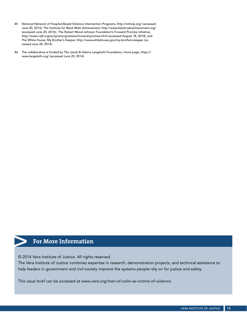- 45 National Network of Hospital-Based Violence Intervention Programs, http://nnhvip.org/ (accessed June 20, 2014); The Institute for Black Male Achievement, http://www.blackmaleachievement.org/ (accessed June 20, 2014);. The Robert Wood Johnson Foundation's Forward Promise initiative, http://www.rwjf.org/en/grants/grantees/forward-promise.html (accessed August 18, 2014); and The White House, My Brother's Keeper, http://www.whitehouse.gov/my-brothers-keeper (accessed June 20, 2014).
- 46 The collaborative is funded by The Jacob & Valeria Langeloth Foundation, home page, https:// www.langeloth.org/ (accessed June 20, 2014).

### **For More Information**

© 2014 Vera Institute of Justice. All rights reserved.

The Vera Institute of Justice combines expertise in research, demonstration projects, and technical assistance to help leaders in government and civil society improve the systems people rely on for justice and safety.

This issue brief can be accessed at [www.vera.org/men-of-color-as-victims-of-violence](http://www.vera.org/men-of-color-as-victims-of-violence)